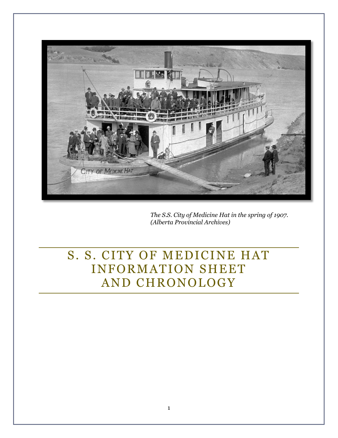

*The S.S. City of Medicine Hat in the spring of 1907. (Alberta Provincial Archives)* 

# S. S. CITY OF MEDICINE HAT INFORMATION SHEET AND CHRONOLOGY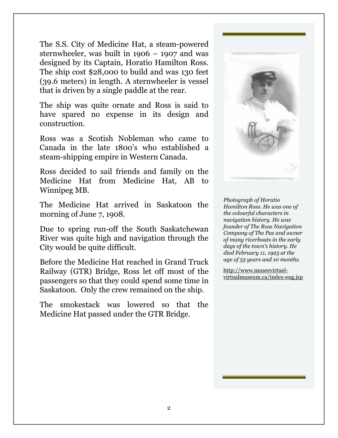The S.S. City of Medicine Hat, a steam-powered sternwheeler, was built in 1906 – 1907 and was designed by its Captain, Horatio Hamilton Ross. The ship cost \$28,000 to build and was 130 feet (39.6 meters) in length. A sternwheeler is vessel that is driven by a single paddle at the rear.

The ship was quite ornate and Ross is said to have spared no expense in its design and construction.

Ross was a Scotish Nobleman who came to Canada in the late 1800's who established a steam-shipping empire in Western Canada.

Ross decided to sail friends and family on the Medicine Hat from Medicine Hat, AB to Winnipeg MB.

The Medicine Hat arrived in Saskatoon the morning of June 7, 1908.

Due to spring run-off the South Saskatchewan River was quite high and navigation through the City would be quite difficult.

Before the Medicine Hat reached in Grand Truck Railway (GTR) Bridge, Ross let off most of the passengers so that they could spend some time in Saskatoon. Only the crew remained on the ship.

The smokestack was lowered so that the Medicine Hat passed under the GTR Bridge.



*Photograph of Horatio Hamilton Ross. He was one of the colourful characters in navigation history. He was founder of The Ross Navigation Company of The Pas and owner of many riverboats in the early days of the town's history. He died February 11, 1925 at the age of 53 years and 10 months.*

http://www.museevirtuelvirtualmuseum.ca/index-eng.jsp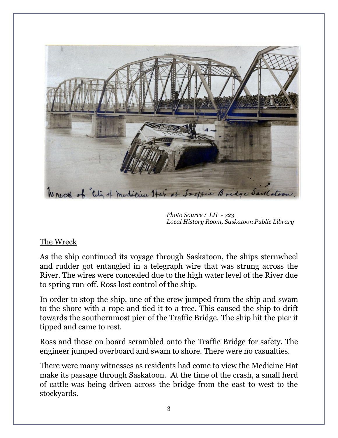

*Photo Source : LH - 723 Local History Room, Saskatoon Public Library* 

#### The Wreck

As the ship continued its voyage through Saskatoon, the ships sternwheel and rudder got entangled in a telegraph wire that was strung across the River. The wires were concealed due to the high water level of the River due to spring run-off. Ross lost control of the ship.

In order to stop the ship, one of the crew jumped from the ship and swam to the shore with a rope and tied it to a tree. This caused the ship to drift towards the southernmost pier of the Traffic Bridge. The ship hit the pier it tipped and came to rest.

Ross and those on board scrambled onto the Traffic Bridge for safety. The engineer jumped overboard and swam to shore. There were no casualties.

There were many witnesses as residents had come to view the Medicine Hat make its passage through Saskatoon. At the time of the crash, a small herd of cattle was being driven across the bridge from the east to west to the stockyards.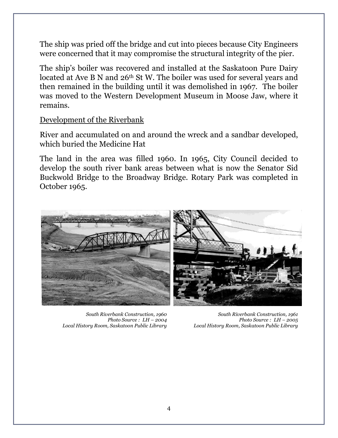The ship was pried off the bridge and cut into pieces because City Engineers were concerned that it may compromise the structural integrity of the pier.

The ship's boiler was recovered and installed at the Saskatoon Pure Dairy located at Ave B N and 26th St W. The boiler was used for several years and then remained in the building until it was demolished in 1967. The boiler was moved to the Western Development Museum in Moose Jaw, where it remains.

Development of the Riverbank

River and accumulated on and around the wreck and a sandbar developed, which buried the Medicine Hat

The land in the area was filled 1960. In 1965, City Council decided to develop the south river bank areas between what is now the Senator Sid Buckwold Bridge to the Broadway Bridge. Rotary Park was completed in October 1965.



*South Riverbank Construction, 1960 Photo Source : LH – 2004 Local History Room, Saskatoon Public Library* 

*South Riverbank Construction, 1961 Photo Source : LH – 2005 Local History Room, Saskatoon Public Library*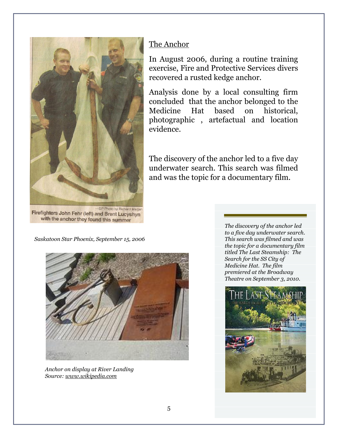

Firefighters John Fehr (left) and Brent Lucyshyn with the anchor they found this summer

## The Anchor

In August 2006, during a routine training exercise, Fire and Protective Services divers recovered a rusted kedge anchor.

Analysis done by a local consulting firm concluded that the anchor belonged to the Medicine Hat based on historical, photographic , artefactual and location evidence.

The discovery of the anchor led to a five day underwater search. This search was filmed and was the topic for a documentary film.

*Saskatoon Star Phoenix, September 15, 2006*



*Anchor on display at River Landing Source: www.wikipedia.com*

*The discovery of the anchor led to a five day underwater search. This search was filmed and was the topic for a documentary film titled The Last Steamship: The Search for the SS City of Medicine Hat. The film premiered at the Broadway Theatre on September 3, 2010.*

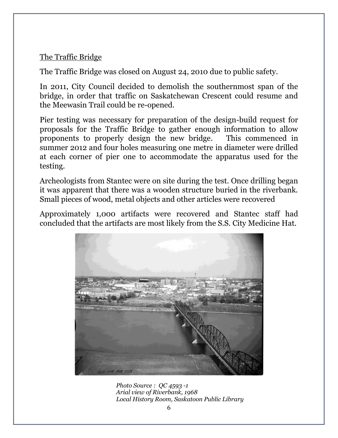## The Traffic Bridge

The Traffic Bridge was closed on August 24, 2010 due to public safety.

In 2011, City Council decided to demolish the southernmost span of the bridge, in order that traffic on Saskatchewan Crescent could resume and the Meewasin Trail could be re-opened.

Pier testing was necessary for preparation of the design-build request for proposals for the Traffic Bridge to gather enough information to allow proponents to properly design the new bridge. This commenced in summer 2012 and four holes measuring one metre in diameter were drilled at each corner of pier one to accommodate the apparatus used for the testing.

Archeologists from Stantec were on site during the test. Once drilling began it was apparent that there was a wooden structure buried in the riverbank. Small pieces of wood, metal objects and other articles were recovered

Approximately 1,000 artifacts were recovered and Stantec staff had concluded that the artifacts are most likely from the S.S. City Medicine Hat.



*Photo Source : QC 4593 -1 Arial view of Riverbank, 1968 Local History Room, Saskatoon Public Library*